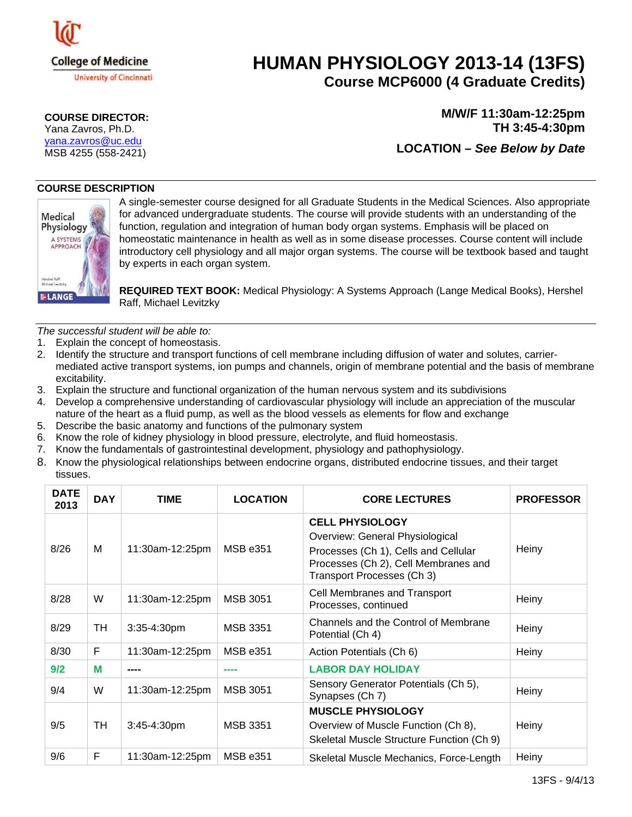

## **HUMAN PHYSIOLOGY 2013-14 (13FS) Course MCP6000 (4 Graduate Credits)**

**M/W/F 11:30am-12:25pm** 

**LOCATION –** *See Below by Date*

**TH 3:45-4:30pm** 

## **COURSE DIRECTOR:**

Yana Zavros, Ph.D. yana.zavros@uc.edu MSB 4255 (558-2421)

## **COURSE DESCRIPTION**



A single-semester course designed for all Graduate Students in the Medical Sciences. Also appropriate for advanced undergraduate students. The course will provide students with an understanding of the function, regulation and integration of human body organ systems. Emphasis will be placed on homeostatic maintenance in health as well as in some disease processes. Course content will include introductory cell physiology and all major organ systems. The course will be textbook based and taught by experts in each organ system.

**REQUIRED TEXT BOOK:** Medical Physiology: A Systems Approach (Lange Medical Books), Hershel Raff, Michael Levitzky

*The successful student will be able to:*

- 1. Explain the concept of homeostasis.
- 2. Identify the structure and transport functions of cell membrane including diffusion of water and solutes, carriermediated active transport systems, ion pumps and channels, origin of membrane potential and the basis of membrane excitability.
- 3. Explain the structure and functional organization of the human nervous system and its subdivisions
- 4. Develop a comprehensive understanding of cardiovascular physiology will include an appreciation of the muscular nature of the heart as a fluid pump, as well as the blood vessels as elements for flow and exchange
- 5. Describe the basic anatomy and functions of the pulmonary system
- 6. Know the role of kidney physiology in blood pressure, electrolyte, and fluid homeostasis.
- 7. Know the fundamentals of gastrointestinal development, physiology and pathophysiology.
- 8. Know the physiological relationships between endocrine organs, distributed endocrine tissues, and their target tissues.

| <b>DATE</b><br>2013 | <b>DAY</b> | TIME            | <b>LOCATION</b> | <b>CORE LECTURES</b>                                                                                                                                                    | <b>PROFESSOR</b> |
|---------------------|------------|-----------------|-----------------|-------------------------------------------------------------------------------------------------------------------------------------------------------------------------|------------------|
| 8/26                | M          | 11:30am-12:25pm | <b>MSB e351</b> | <b>CELL PHYSIOLOGY</b><br>Overview: General Physiological<br>Processes (Ch 1), Cells and Cellular<br>Processes (Ch 2), Cell Membranes and<br>Transport Processes (Ch 3) | Heiny            |
| 8/28                | W          | 11:30am-12:25pm | <b>MSB 3051</b> | Cell Membranes and Transport<br>Processes, continued                                                                                                                    | Heiny            |
| 8/29                | TH         | 3:35-4:30pm     | <b>MSB 3351</b> | Channels and the Control of Membrane<br>Potential (Ch 4)                                                                                                                | Heiny            |
| 8/30                | F          | 11:30am-12:25pm | <b>MSB e351</b> | Action Potentials (Ch 6)                                                                                                                                                | Heiny            |
| 9/2                 | М          |                 | -----           | <b>LABOR DAY HOLIDAY</b>                                                                                                                                                |                  |
| 9/4                 | W          | 11:30am-12:25pm | <b>MSB 3051</b> | Sensory Generator Potentials (Ch 5),<br>Synapses (Ch 7)                                                                                                                 | Heiny            |
|                     |            |                 |                 | <b>MUSCLE PHYSIOLOGY</b>                                                                                                                                                |                  |
| 9/5                 | TН         | 3:45-4:30pm     | <b>MSB 3351</b> | Overview of Muscle Function (Ch 8),                                                                                                                                     | Heiny            |
|                     |            |                 |                 | Skeletal Muscle Structure Function (Ch 9)                                                                                                                               |                  |
| 9/6                 | F          | 11:30am-12:25pm | <b>MSB e351</b> | Skeletal Muscle Mechanics, Force-Length                                                                                                                                 | Heiny            |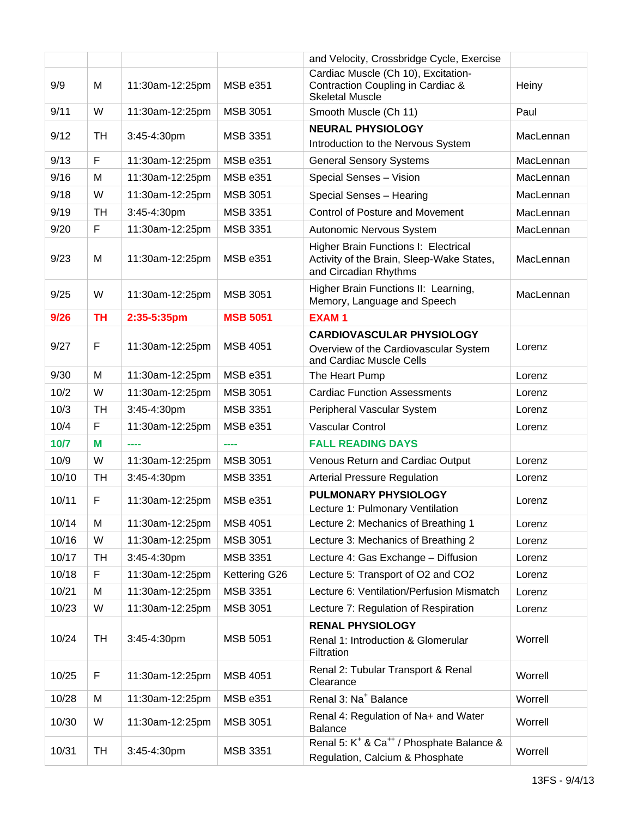|       |           |                 |                 | and Velocity, Crossbridge Cycle, Exercise                                                                  |           |
|-------|-----------|-----------------|-----------------|------------------------------------------------------------------------------------------------------------|-----------|
| 9/9   | M         | 11:30am-12:25pm | <b>MSB e351</b> | Cardiac Muscle (Ch 10), Excitation-<br>Contraction Coupling in Cardiac &<br><b>Skeletal Muscle</b>         | Heiny     |
| 9/11  | W         | 11:30am-12:25pm | <b>MSB 3051</b> | Smooth Muscle (Ch 11)                                                                                      | Paul      |
| 9/12  | TH        | 3:45-4:30pm     | <b>MSB 3351</b> | <b>NEURAL PHYSIOLOGY</b><br>Introduction to the Nervous System                                             | MacLennan |
| 9/13  | F         | 11:30am-12:25pm | <b>MSB e351</b> | <b>General Sensory Systems</b>                                                                             | MacLennan |
| 9/16  | M         | 11:30am-12:25pm | <b>MSB e351</b> | Special Senses - Vision                                                                                    | MacLennan |
| 9/18  | W         | 11:30am-12:25pm | <b>MSB 3051</b> | Special Senses - Hearing                                                                                   | MacLennan |
| 9/19  | TН        | 3:45-4:30pm     | <b>MSB 3351</b> | <b>Control of Posture and Movement</b>                                                                     | MacLennan |
| 9/20  | F         | 11:30am-12:25pm | <b>MSB 3351</b> | Autonomic Nervous System                                                                                   | MacLennan |
| 9/23  | M         | 11:30am-12:25pm | <b>MSB e351</b> | Higher Brain Functions I: Electrical<br>Activity of the Brain, Sleep-Wake States,<br>and Circadian Rhythms | MacLennan |
| 9/25  | W         | 11:30am-12:25pm | <b>MSB 3051</b> | Higher Brain Functions II: Learning,<br>Memory, Language and Speech                                        | MacLennan |
| 9/26  | <b>TH</b> | 2:35-5:35pm     | <b>MSB 5051</b> | <b>EXAM1</b>                                                                                               |           |
| 9/27  | F         | 11:30am-12:25pm | <b>MSB 4051</b> | <b>CARDIOVASCULAR PHYSIOLOGY</b><br>Overview of the Cardiovascular System<br>and Cardiac Muscle Cells      | Lorenz    |
| 9/30  | M         | 11:30am-12:25pm | <b>MSB e351</b> | The Heart Pump                                                                                             | Lorenz    |
| 10/2  | W         | 11:30am-12:25pm | <b>MSB 3051</b> | <b>Cardiac Function Assessments</b>                                                                        | Lorenz    |
| 10/3  | <b>TH</b> | 3:45-4:30pm     | <b>MSB 3351</b> | Peripheral Vascular System                                                                                 | Lorenz    |
| 10/4  | F         | 11:30am-12:25pm | <b>MSB e351</b> | <b>Vascular Control</b>                                                                                    | Lorenz    |
| 10/7  | M         | ----            | ----            | <b>FALL READING DAYS</b>                                                                                   |           |
| 10/9  | W         | 11:30am-12:25pm | <b>MSB 3051</b> | Venous Return and Cardiac Output                                                                           | Lorenz    |
| 10/10 | <b>TH</b> | 3:45-4:30pm     | <b>MSB 3351</b> | <b>Arterial Pressure Regulation</b>                                                                        | Lorenz    |
| 10/11 | F         | 11:30am-12:25pm | <b>MSB e351</b> | PULMONARY PHYSIOLOGY<br>Lecture 1: Pulmonary Ventilation                                                   | Lorenz    |
| 10/14 | M         | 11:30am-12:25pm | <b>MSB 4051</b> | Lecture 2: Mechanics of Breathing 1                                                                        | Lorenz    |
| 10/16 | W         | 11:30am-12:25pm | MSB 3051        | Lecture 3: Mechanics of Breathing 2                                                                        | Lorenz    |
| 10/17 | <b>TH</b> | 3:45-4:30pm     | MSB 3351        | Lecture 4: Gas Exchange - Diffusion                                                                        | Lorenz    |
| 10/18 | F         | 11:30am-12:25pm | Kettering G26   | Lecture 5: Transport of O2 and CO2                                                                         | Lorenz    |
| 10/21 | M         | 11:30am-12:25pm | <b>MSB 3351</b> | Lecture 6: Ventilation/Perfusion Mismatch                                                                  | Lorenz    |
| 10/23 | W         | 11:30am-12:25pm | <b>MSB 3051</b> | Lecture 7: Regulation of Respiration                                                                       | Lorenz    |
| 10/24 | TH        | 3:45-4:30pm     | MSB 5051        | <b>RENAL PHYSIOLOGY</b><br>Renal 1: Introduction & Glomerular<br>Filtration                                | Worrell   |
| 10/25 | F         | 11:30am-12:25pm | <b>MSB 4051</b> | Renal 2: Tubular Transport & Renal<br>Clearance                                                            | Worrell   |
| 10/28 | M         | 11:30am-12:25pm | <b>MSB e351</b> | Renal 3: Na <sup>+</sup> Balance                                                                           | Worrell   |
| 10/30 | W         | 11:30am-12:25pm | MSB 3051        | Renal 4: Regulation of Na+ and Water<br><b>Balance</b>                                                     | Worrell   |
| 10/31 | <b>TH</b> | 3:45-4:30pm     | MSB 3351        | Renal 5: K <sup>+</sup> & Ca <sup>++</sup> / Phosphate Balance &<br>Regulation, Calcium & Phosphate        | Worrell   |